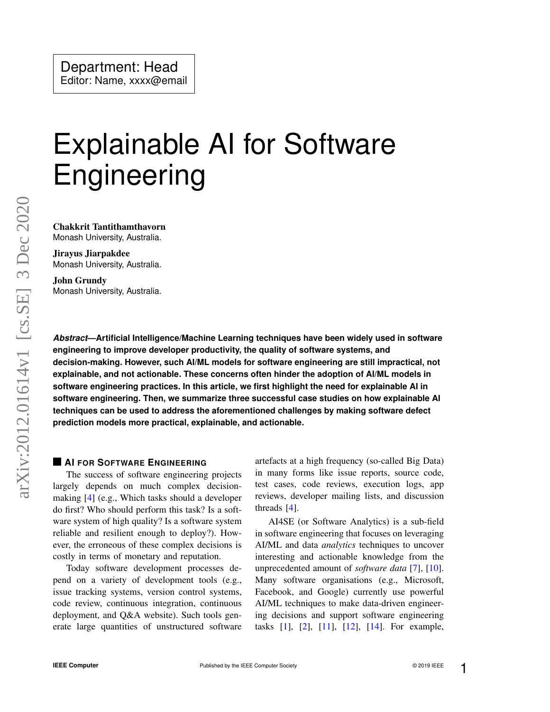# Explainable AI for Software Engineering

Chakkrit Tantithamthavorn Monash University, Australia.

Jirayus Jiarpakdee Monash University, Australia.

John Grundy Monash University, Australia.

*Abstract***—Artificial Intelligence/Machine Learning techniques have been widely used in software engineering to improve developer productivity, the quality of software systems, and decision-making. However, such AI/ML models for software engineering are still impractical, not explainable, and not actionable. These concerns often hinder the adoption of AI/ML models in software engineering practices. In this article, we first highlight the need for explainable AI in software engineering. Then, we summarize three successful case studies on how explainable AI techniques can be used to address the aforementioned challenges by making software defect prediction models more practical, explainable, and actionable.**

#### **AI FOR SOFTWARE ENGINEERING**

The success of software engineering projects largely depends on much complex decisionmaking [\[4\]](#page-6-0) (e.g., Which tasks should a developer do first? Who should perform this task? Is a software system of high quality? Is a software system reliable and resilient enough to deploy?). However, the erroneous of these complex decisions is costly in terms of monetary and reputation.

Today software development processes depend on a variety of development tools (e.g., issue tracking systems, version control systems, code review, continuous integration, continuous deployment, and Q&A website). Such tools generate large quantities of unstructured software artefacts at a high frequency (so-called Big Data) in many forms like issue reports, source code, test cases, code reviews, execution logs, app reviews, developer mailing lists, and discussion threads [\[4\]](#page-6-0).

AI4SE (or Software Analytics) is a sub-field in software engineering that focuses on leveraging AI/ML and data *analytics* techniques to uncover interesting and actionable knowledge from the unprecedented amount of *software data* [\[7\]](#page-6-1), [\[10\]](#page-6-2). Many software organisations (e.g., Microsoft, Facebook, and Google) currently use powerful AI/ML techniques to make data-driven engineering decisions and support software engineering tasks [\[1\]](#page-5-0), [\[2\]](#page-5-1), [\[11\]](#page-6-3), [\[12\]](#page-6-4), [\[14\]](#page-6-5). For example,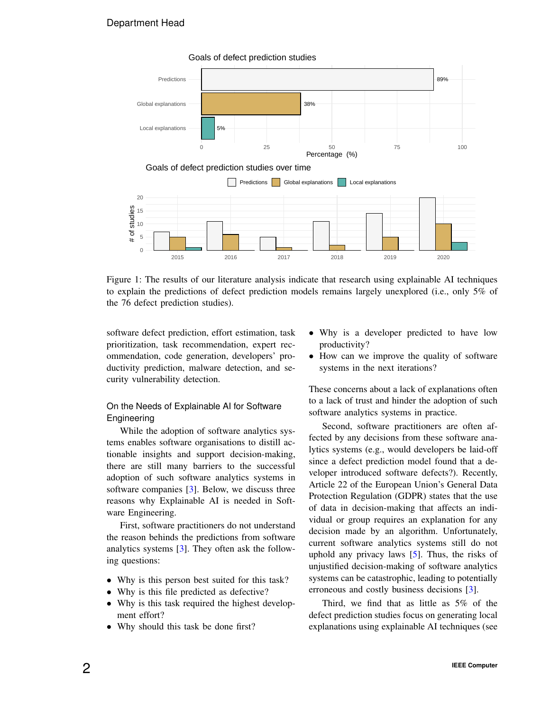### Department Head

<span id="page-1-0"></span>

Figure 1: The results of our literature analysis indicate that research using explainable AI techniques to explain the predictions of defect prediction models remains largely unexplored (i.e., only 5% of the 76 defect prediction studies).

software defect prediction, effort estimation, task prioritization, task recommendation, expert recommendation, code generation, developers' productivity prediction, malware detection, and security vulnerability detection.

#### On the Needs of Explainable AI for Software Engineering

While the adoption of software analytics systems enables software organisations to distill actionable insights and support decision-making, there are still many barriers to the successful adoption of such software analytics systems in software companies [\[3\]](#page-5-2). Below, we discuss three reasons why Explainable AI is needed in Software Engineering.

First, software practitioners do not understand the reason behinds the predictions from software analytics systems [\[3\]](#page-5-2). They often ask the following questions:

- Why is this person best suited for this task?
- Why is this file predicted as defective?
- Why is this task required the highest development effort?
- Why should this task be done first?
- Why is a developer predicted to have low productivity?
- How can we improve the quality of software systems in the next iterations?

These concerns about a lack of explanations often to a lack of trust and hinder the adoption of such software analytics systems in practice.

Second, software practitioners are often affected by any decisions from these software analytics systems (e.g., would developers be laid-off since a defect prediction model found that a developer introduced software defects?). Recently, Article 22 of the European Union's General Data Protection Regulation (GDPR) states that the use of data in decision-making that affects an individual or group requires an explanation for any decision made by an algorithm. Unfortunately, current software analytics systems still do not uphold any privacy laws [\[5\]](#page-6-6). Thus, the risks of unjustified decision-making of software analytics systems can be catastrophic, leading to potentially erroneous and costly business decisions [\[3\]](#page-5-2).

Third, we find that as little as 5% of the defect prediction studies focus on generating local explanations using explainable AI techniques (see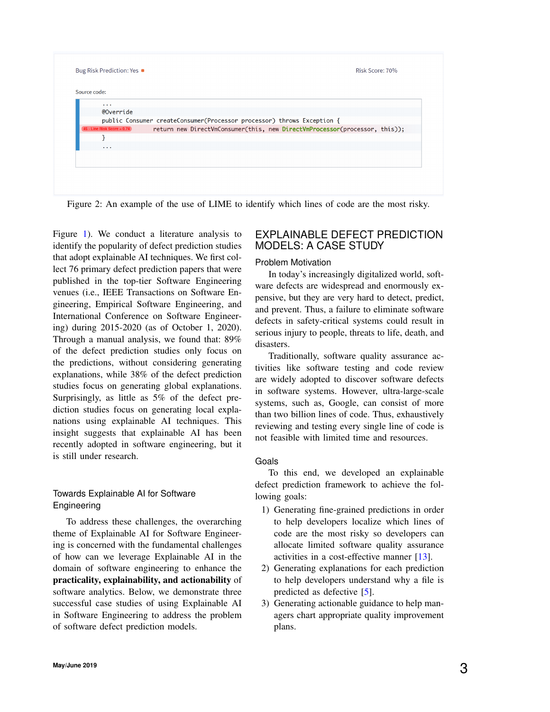<span id="page-2-0"></span>

| $\cdots$                      |                                                                            |
|-------------------------------|----------------------------------------------------------------------------|
| @Override                     |                                                                            |
|                               | public Consumer createConsumer(Processor processor) throws Exception {     |
| $45$ - Line Risk Score = 0.74 | return new DirectVmConsumer(this, new DirectVmProcessor(processor, this)); |
|                               |                                                                            |
| $\cdots$                      |                                                                            |
|                               |                                                                            |
|                               |                                                                            |

Figure [1\)](#page-1-0). We conduct a literature analysis to identify the popularity of defect prediction studies that adopt explainable AI techniques. We first collect 76 primary defect prediction papers that were published in the top-tier Software Engineering venues (i.e., IEEE Transactions on Software Engineering, Empirical Software Engineering, and International Conference on Software Engineering) during 2015-2020 (as of October 1, 2020). Through a manual analysis, we found that: 89% of the defect prediction studies only focus on the predictions, without considering generating explanations, while 38% of the defect prediction studies focus on generating global explanations. Surprisingly, as little as 5% of the defect prediction studies focus on generating local explanations using explainable AI techniques. This insight suggests that explainable AI has been recently adopted in software engineering, but it is still under research.

### Towards Explainable AI for Software **Engineering**

To address these challenges, the overarching theme of Explainable AI for Software Engineering is concerned with the fundamental challenges of how can we leverage Explainable AI in the domain of software engineering to enhance the practicality, explainability, and actionability of software analytics. Below, we demonstrate three successful case studies of using Explainable AI in Software Engineering to address the problem of software defect prediction models.

## EXPLAINABLE DEFECT PREDICTION MODELS: A CASE STUDY

#### Problem Motivation

In today's increasingly digitalized world, software defects are widespread and enormously expensive, but they are very hard to detect, predict, and prevent. Thus, a failure to eliminate software defects in safety-critical systems could result in serious injury to people, threats to life, death, and disasters.

Traditionally, software quality assurance activities like software testing and code review are widely adopted to discover software defects in software systems. However, ultra-large-scale systems, such as, Google, can consist of more than two billion lines of code. Thus, exhaustively reviewing and testing every single line of code is not feasible with limited time and resources.

#### Goals

To this end, we developed an explainable defect prediction framework to achieve the following goals:

- 1) Generating fine-grained predictions in order to help developers localize which lines of code are the most risky so developers can allocate limited software quality assurance activities in a cost-effective manner [\[13\]](#page-6-7).
- 2) Generating explanations for each prediction to help developers understand why a file is predicted as defective [\[5\]](#page-6-6).
- 3) Generating actionable guidance to help managers chart appropriate quality improvement plans.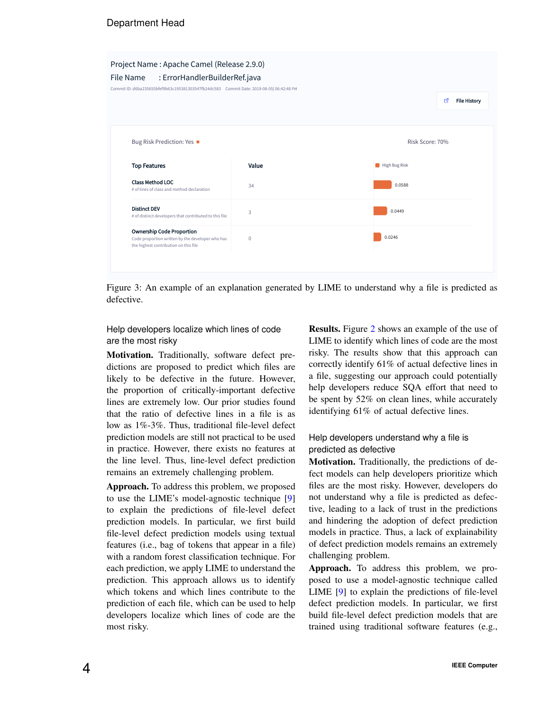<span id="page-3-0"></span>Project Name : Apache Camel (Release 2.9.0) File Name : ErrorHandlerBuilderRef.java Commit ID: d6ba235655bfef9b63c195381303547fb24dc583 Commit Date: 2019-08-05| 06:42:48 PM гZ. File History Bug Risk Prediction: Yes Risk Score: 70% Top Features and Value High Bug Risk Class Method LOC 34 0.0588 # of lines of class and method declaration Distinct DEV 0.0449 3 ers that contributed to this file Ownership Code Proportion 0.0246  $\overline{0}$ tion written by the developer who has the highest contribution on this file

Figure 3: An example of an explanation generated by LIME to understand why a file is predicted as defective.

#### Help developers localize which lines of code are the most risky

Motivation. Traditionally, software defect predictions are proposed to predict which files are likely to be defective in the future. However, the proportion of critically-important defective lines are extremely low. Our prior studies found that the ratio of defective lines in a file is as low as 1%-3%. Thus, traditional file-level defect prediction models are still not practical to be used in practice. However, there exists no features at the line level. Thus, line-level defect prediction remains an extremely challenging problem.

Approach. To address this problem, we proposed to use the LIME's model-agnostic technique [\[9\]](#page-6-8) to explain the predictions of file-level defect prediction models. In particular, we first build file-level defect prediction models using textual features (i.e., bag of tokens that appear in a file) with a random forest classification technique. For each prediction, we apply LIME to understand the prediction. This approach allows us to identify which tokens and which lines contribute to the prediction of each file, which can be used to help developers localize which lines of code are the most risky.

Results. Figure [2](#page-2-0) shows an example of the use of LIME to identify which lines of code are the most risky. The results show that this approach can correctly identify 61% of actual defective lines in a file, suggesting our approach could potentially help developers reduce SQA effort that need to be spent by 52% on clean lines, while accurately identifying 61% of actual defective lines.

### Help developers understand why a file is predicted as defective

Motivation. Traditionally, the predictions of defect models can help developers prioritize which files are the most risky. However, developers do not understand why a file is predicted as defective, leading to a lack of trust in the predictions and hindering the adoption of defect prediction models in practice. Thus, a lack of explainability of defect prediction models remains an extremely challenging problem.

Approach. To address this problem, we proposed to use a model-agnostic technique called LIME [\[9\]](#page-6-8) to explain the predictions of file-level defect prediction models. In particular, we first build file-level defect prediction models that are trained using traditional software features (e.g.,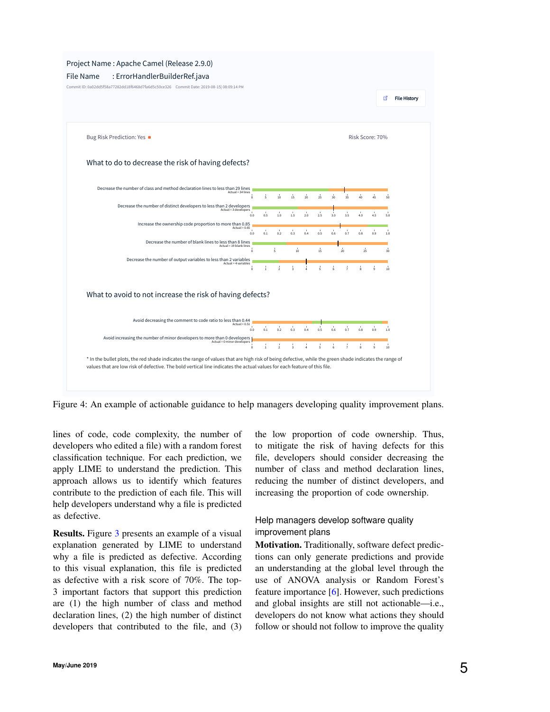<span id="page-4-0"></span>

Figure 4: An example of actionable guidance to help managers developing quality improvement plans.

lines of code, code complexity, the number of developers who edited a file) with a random forest classification technique. For each prediction, we apply LIME to understand the prediction. This approach allows us to identify which features contribute to the prediction of each file. This will help developers understand why a file is predicted as defective.

Results. Figure [3](#page-3-0) presents an example of a visual explanation generated by LIME to understand why a file is predicted as defective. According to this visual explanation, this file is predicted as defective with a risk score of 70%. The top-3 important factors that support this prediction are (1) the high number of class and method declaration lines, (2) the high number of distinct developers that contributed to the file, and (3)

the low proportion of code ownership. Thus, to mitigate the risk of having defects for this file, developers should consider decreasing the number of class and method declaration lines, reducing the number of distinct developers, and increasing the proportion of code ownership.

#### Help managers develop software quality improvement plans

Motivation. Traditionally, software defect predictions can only generate predictions and provide an understanding at the global level through the use of ANOVA analysis or Random Forest's feature importance [\[6\]](#page-6-9). However, such predictions and global insights are still not actionable—i.e., developers do not know what actions they should follow or should not follow to improve the quality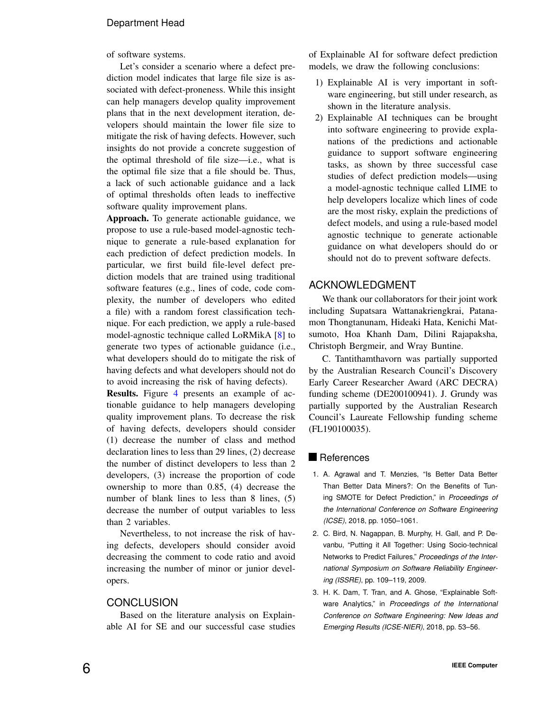of software systems.

Let's consider a scenario where a defect prediction model indicates that large file size is associated with defect-proneness. While this insight can help managers develop quality improvement plans that in the next development iteration, developers should maintain the lower file size to mitigate the risk of having defects. However, such insights do not provide a concrete suggestion of the optimal threshold of file size—i.e., what is the optimal file size that a file should be. Thus, a lack of such actionable guidance and a lack of optimal thresholds often leads to ineffective software quality improvement plans.

Approach. To generate actionable guidance, we propose to use a rule-based model-agnostic technique to generate a rule-based explanation for each prediction of defect prediction models. In particular, we first build file-level defect prediction models that are trained using traditional software features (e.g., lines of code, code complexity, the number of developers who edited a file) with a random forest classification technique. For each prediction, we apply a rule-based model-agnostic technique called LoRMikA [\[8\]](#page-6-10) to generate two types of actionable guidance (i.e., what developers should do to mitigate the risk of having defects and what developers should not do to avoid increasing the risk of having defects).

Results. Figure [4](#page-4-0) presents an example of actionable guidance to help managers developing quality improvement plans. To decrease the risk of having defects, developers should consider (1) decrease the number of class and method declaration lines to less than 29 lines, (2) decrease the number of distinct developers to less than 2 developers, (3) increase the proportion of code ownership to more than 0.85, (4) decrease the number of blank lines to less than 8 lines, (5) decrease the number of output variables to less than 2 variables.

Nevertheless, to not increase the risk of having defects, developers should consider avoid decreasing the comment to code ratio and avoid increasing the number of minor or junior developers.

#### **CONCLUSION**

Based on the literature analysis on Explainable AI for SE and our successful case studies of Explainable AI for software defect prediction models, we draw the following conclusions:

- 1) Explainable AI is very important in software engineering, but still under research, as shown in the literature analysis.
- 2) Explainable AI techniques can be brought into software engineering to provide explanations of the predictions and actionable guidance to support software engineering tasks, as shown by three successful case studies of defect prediction models—using a model-agnostic technique called LIME to help developers localize which lines of code are the most risky, explain the predictions of defect models, and using a rule-based model agnostic technique to generate actionable guidance on what developers should do or should not do to prevent software defects.

#### ACKNOWLEDGMENT

We thank our collaborators for their joint work including Supatsara Wattanakriengkrai, Patanamon Thongtanunam, Hideaki Hata, Kenichi Matsumoto, Hoa Khanh Dam, Dilini Rajapaksha, Christoph Bergmeir, and Wray Buntine.

C. Tantithamthavorn was partially supported by the Australian Research Council's Discovery Early Career Researcher Award (ARC DECRA) funding scheme (DE200100941). J. Grundy was partially supported by the Australian Research Council's Laureate Fellowship funding scheme (FL190100035).

#### **References**

- <span id="page-5-0"></span>1. A. Agrawal and T. Menzies, "Is Better Data Better Than Better Data Miners?: On the Benefits of Tuning SMOTE for Defect Prediction," in *Proceedings of the International Conference on Software Engineering (ICSE)*, 2018, pp. 1050–1061.
- <span id="page-5-1"></span>2. C. Bird, N. Nagappan, B. Murphy, H. Gall, and P. Devanbu, "Putting it All Together: Using Socio-technical Networks to Predict Failures," *Proceedings of the International Symposium on Software Reliability Engineering (ISSRE)*, pp. 109–119, 2009.
- <span id="page-5-2"></span>3. H. K. Dam, T. Tran, and A. Ghose, "Explainable Software Analytics," in *Proceedings of the International Conference on Software Engineering: New Ideas and Emerging Results (ICSE-NIER)*, 2018, pp. 53–56.